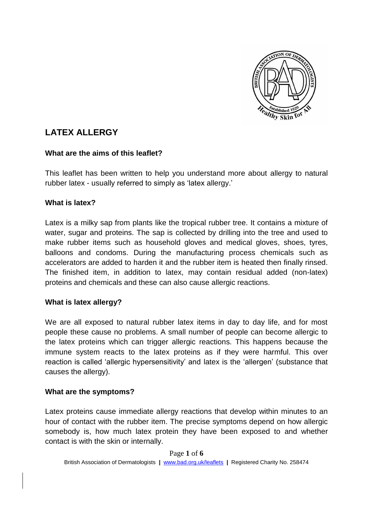

# **LATEX ALLERGY**

# **What are the aims of this leaflet?**

This leaflet has been written to help you understand more about allergy to natural rubber latex - usually referred to simply as 'latex allergy.'

## **What is latex?**

Latex is a milky sap from plants like the tropical rubber tree. It contains a mixture of water, sugar and proteins. The sap is collected by drilling into the tree and used to make rubber items such as household gloves and medical gloves, shoes, tyres, balloons and condoms. During the manufacturing process chemicals such as accelerators are added to harden it and the rubber item is heated then finally rinsed. The finished item, in addition to latex, may contain residual added (non-latex) proteins and chemicals and these can also cause allergic reactions.

# **What is latex allergy?**

We are all exposed to natural rubber latex items in day to day life, and for most people these cause no problems. A small number of people can become allergic to the latex proteins which can trigger allergic reactions. This happens because the immune system reacts to the latex proteins as if they were harmful. This over reaction is called 'allergic hypersensitivity' and latex is the 'allergen' (substance that causes the allergy).

#### **What are the symptoms?**

Latex proteins cause immediate allergy reactions that develop within minutes to an hour of contact with the rubber item. The precise symptoms depend on how allergic somebody is, how much latex protein they have been exposed to and whether contact is with the skin or internally.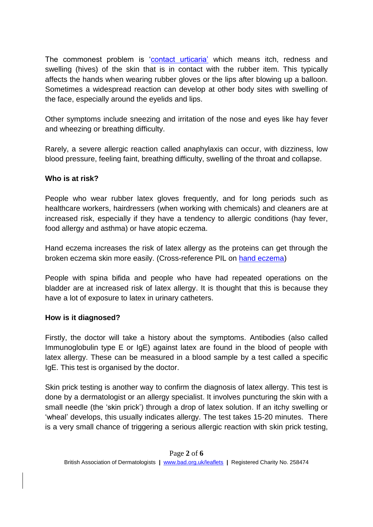The commonest problem is ['contact urticaria'](http://www.bad.org.uk/shared/get-file.ashx?id=184&itemtype=document) which means itch, redness and swelling (hives) of the skin that is in contact with the rubber item. This typically affects the hands when wearing rubber gloves or the lips after blowing up a balloon. Sometimes a widespread reaction can develop at other body sites with swelling of the face, especially around the eyelids and lips.

Other symptoms include sneezing and irritation of the nose and eyes like hay fever and wheezing or breathing difficulty.

Rarely, a severe allergic reaction called anaphylaxis can occur, with dizziness, low blood pressure, feeling faint, breathing difficulty, swelling of the throat and collapse.

# **Who is at risk?**

People who wear rubber latex gloves frequently, and for long periods such as healthcare workers, hairdressers (when working with chemicals) and cleaners are at increased risk, especially if they have a tendency to allergic conditions (hay fever, food allergy and asthma) or have atopic eczema.

Hand eczema increases the risk of latex allergy as the proteins can get through the broken eczema skin more easily. (Cross-reference PIL on [hand eczema\)](http://www.bad.org.uk/for-the-public/patient-information-leaflets/hand-dermatitis)

People with spina bifida and people who have had repeated operations on the bladder are at increased risk of latex allergy. It is thought that this is because they have a lot of exposure to latex in urinary catheters.

# **How is it diagnosed?**

Firstly, the doctor will take a history about the symptoms. Antibodies (also called Immunoglobulin type E or IgE) against latex are found in the blood of people with latex allergy. These can be measured in a blood sample by a test called a specific IgE. This test is organised by the doctor.

Skin prick testing is another way to confirm the diagnosis of latex allergy. This test is done by a dermatologist or an allergy specialist. It involves puncturing the skin with a small needle (the 'skin prick') through a drop of latex solution. If an itchy swelling or 'wheal' develops, this usually indicates allergy. The test takes 15-20 minutes. There is a very small chance of triggering a serious allergic reaction with skin prick testing,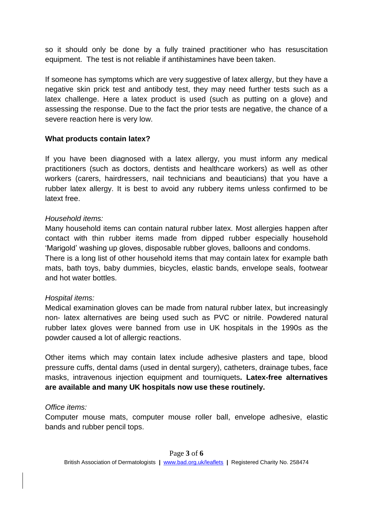so it should only be done by a fully trained practitioner who has resuscitation equipment. The test is not reliable if antihistamines have been taken.

If someone has symptoms which are very suggestive of latex allergy, but they have a negative skin prick test and antibody test, they may need further tests such as a latex challenge. Here a latex product is used (such as putting on a glove) and assessing the response. Due to the fact the prior tests are negative, the chance of a severe reaction here is very low.

## **What products contain latex?**

If you have been diagnosed with a latex allergy, you must inform any medical practitioners (such as doctors, dentists and healthcare workers) as well as other workers (carers, hairdressers, nail technicians and beauticians) that you have a rubber latex allergy. It is best to avoid any rubbery items unless confirmed to be latext free.

#### *Household items:*

Many household items can contain natural rubber latex. Most allergies happen after contact with thin rubber items made from dipped rubber especially household 'Marigold' washing up gloves, disposable rubber gloves, balloons and condoms.

There is a long list of other household items that may contain latex for example bath mats, bath toys, baby dummies, bicycles, elastic bands, envelope seals, footwear and hot water bottles.

#### *Hospital items:*

Medical examination gloves can be made from natural rubber latex, but increasingly non- latex alternatives are being used such as PVC or nitrile. Powdered natural rubber latex gloves were banned from use in UK hospitals in the 1990s as the powder caused a lot of allergic reactions.

Other items which may contain latex include adhesive plasters and tape, blood pressure cuffs, dental dams (used in dental surgery), catheters, drainage tubes, face masks, intravenous injection equipment and tourniquets**. Latex-free alternatives are available and many UK hospitals now use these routinely.**

#### *Office items:*

Computer mouse mats, computer mouse roller ball, envelope adhesive, elastic bands and rubber pencil tops.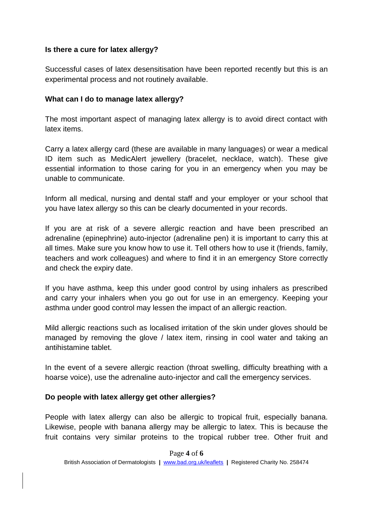## **Is there a cure for latex allergy?**

Successful cases of latex desensitisation have been reported recently but this is an experimental process and not routinely available.

## **What can I do to manage latex allergy?**

The most important aspect of managing latex allergy is to avoid direct contact with latex items.

Carry a latex allergy card (these are available in many languages) or wear a medical ID item such as MedicAlert jewellery (bracelet, necklace, watch). These give essential information to those caring for you in an emergency when you may be unable to communicate.

Inform all medical, nursing and dental staff and your employer or your school that you have latex allergy so this can be clearly documented in your records.

If you are at risk of a severe allergic reaction and have been prescribed an adrenaline (epinephrine) auto-injector (adrenaline pen) it is important to carry this at all times. Make sure you know how to use it. Tell others how to use it (friends, family, teachers and work colleagues) and where to find it in an emergency Store correctly and check the expiry date.

If you have asthma, keep this under good control by using inhalers as prescribed and carry your inhalers when you go out for use in an emergency. Keeping your asthma under good control may lessen the impact of an allergic reaction.

Mild allergic reactions such as localised irritation of the skin under gloves should be managed by removing the glove / latex item, rinsing in cool water and taking an antihistamine tablet.

In the event of a severe allergic reaction (throat swelling, difficulty breathing with a hoarse voice), use the adrenaline auto-injector and call the emergency services.

#### **Do people with latex allergy get other allergies?**

People with latex allergy can also be allergic to tropical fruit, especially banana. Likewise, people with banana allergy may be allergic to latex. This is because the fruit contains very similar proteins to the tropical rubber tree. Other fruit and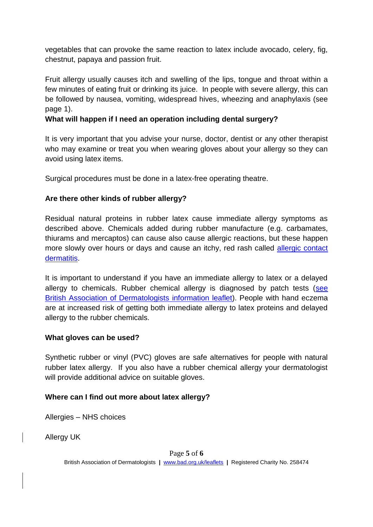vegetables that can provoke the same reaction to latex include avocado, celery, fig, chestnut, papaya and passion fruit.

Fruit allergy usually causes itch and swelling of the lips, tongue and throat within a few minutes of eating fruit or drinking its juice. In people with severe allergy, this can be followed by nausea, vomiting, widespread hives, wheezing and anaphylaxis (see page 1).

# **What will happen if I need an operation including dental surgery?**

It is very important that you advise your nurse, doctor, dentist or any other therapist who may examine or treat you when wearing gloves about your allergy so they can avoid using latex items.

Surgical procedures must be done in a latex-free operating theatre.

## **Are there other kinds of rubber allergy?**

Residual natural proteins in rubber latex cause immediate allergy symptoms as described above. Chemicals added during rubber manufacture (e.g. carbamates, thiurams and mercaptos) can cause also cause allergic reactions, but these happen more slowly over hours or days and cause an itchy, red rash called allergic contact [dermatitis.](http://www.bad.org.uk/shared/get-file.ashx?id=191&itemtype=document)

It is important to understand if you have an immediate allergy to latex or a delayed allergy to chemicals. Rubber chemical allergy is diagnosed by patch tests (see [British Association of Dermatologists information leaflet\)](http://www.bad.org.uk/for-the-public/patient-information-leaflets/patch-testing). People with hand eczema are at increased risk of getting both immediate allergy to latex proteins and delayed allergy to the rubber chemicals.

#### **What gloves can be used?**

Synthetic rubber or vinyl (PVC) gloves are safe alternatives for people with natural rubber latex allergy. If you also have a rubber chemical allergy your dermatologist will provide additional advice on suitable gloves.

#### **Where can I find out more about latex allergy?**

Allergies – NHS choices

Allergy UK